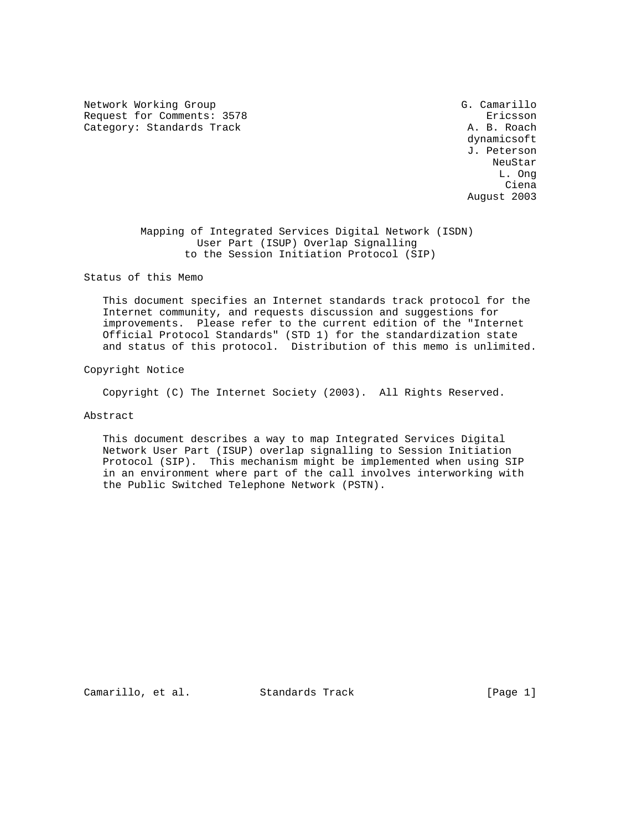Network Working Group G. Camarillo Request for Comments: 3578 Ericsson<br>Category: Standards Track Category: A. B. Roach Category: Standards Track

 dynamicsoft J. Peterson neuStar and the control of the control of the control of the control of the control of the control of the control of the control of the control of the control of the control of the control of the control of the control of L. Ong na dia 1992 nope 2014. Ilay kaominina dia 49.9149° ary 2.0141° amin'ny soratra desimaly. Ny faritr'i Norma dia  $C$ iena  $C$ August 2003

> Mapping of Integrated Services Digital Network (ISDN) User Part (ISUP) Overlap Signalling to the Session Initiation Protocol (SIP)

Status of this Memo

 This document specifies an Internet standards track protocol for the Internet community, and requests discussion and suggestions for improvements. Please refer to the current edition of the "Internet Official Protocol Standards" (STD 1) for the standardization state and status of this protocol. Distribution of this memo is unlimited.

Copyright Notice

Copyright (C) The Internet Society (2003). All Rights Reserved.

Abstract

 This document describes a way to map Integrated Services Digital Network User Part (ISUP) overlap signalling to Session Initiation Protocol (SIP). This mechanism might be implemented when using SIP in an environment where part of the call involves interworking with the Public Switched Telephone Network (PSTN).

Camarillo, et al. Standards Track [Page 1]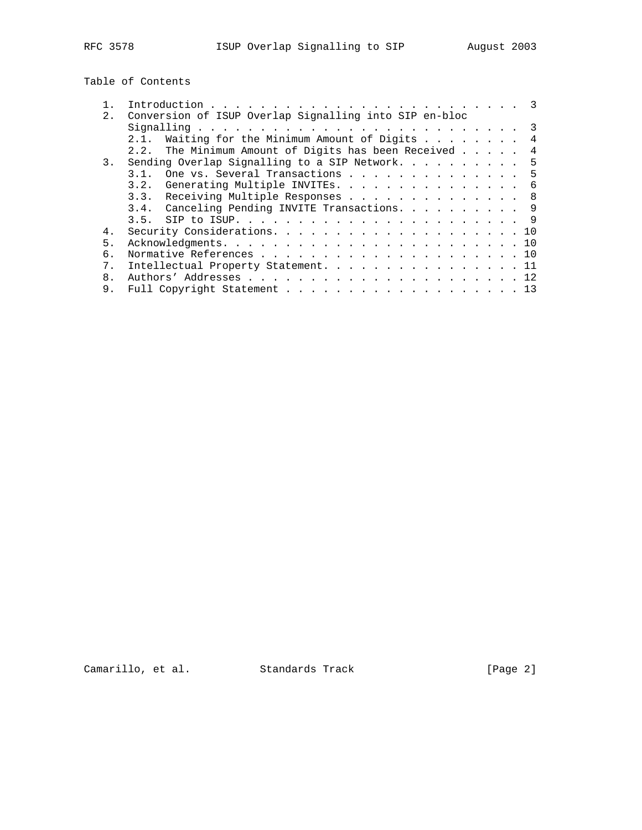# Table of Contents

| 2.1          | Conversion of ISUP Overlap Signalling into SIP en-bloc |
|--------------|--------------------------------------------------------|
|              |                                                        |
|              | Waiting for the Minimum Amount of Digits 4<br>2.1.     |
|              | 2.2. The Minimum Amount of Digits has been Received    |
|              |                                                        |
| 3.           | Sending Overlap Signalling to a SIP Network.<br>5      |
|              | 3.1. One vs. Several Transactions<br>5                 |
|              | 3.2. Generating Multiple INVITEs.<br>- 6               |
|              | 3.3. Receiving Multiple Responses<br>- 8               |
|              | 3.4. Canceling Pending INVITE Transactions. 9          |
|              |                                                        |
| 4.           |                                                        |
| 5.           |                                                        |
| 6.           |                                                        |
| $7$ .        | Intellectual Property Statement. 11                    |
| $\mathsf{R}$ |                                                        |
| 9.           | Full Copyright Statement 13                            |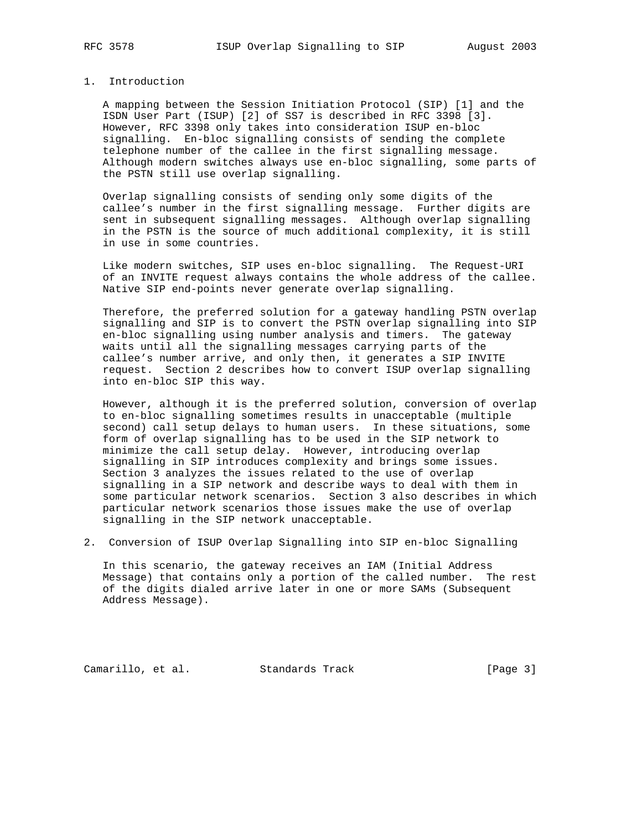### 1. Introduction

 A mapping between the Session Initiation Protocol (SIP) [1] and the ISDN User Part (ISUP) [2] of SS7 is described in RFC 3398 [3]. However, RFC 3398 only takes into consideration ISUP en-bloc signalling. En-bloc signalling consists of sending the complete telephone number of the callee in the first signalling message. Although modern switches always use en-bloc signalling, some parts of the PSTN still use overlap signalling.

 Overlap signalling consists of sending only some digits of the callee's number in the first signalling message. Further digits are sent in subsequent signalling messages. Although overlap signalling in the PSTN is the source of much additional complexity, it is still in use in some countries.

 Like modern switches, SIP uses en-bloc signalling. The Request-URI of an INVITE request always contains the whole address of the callee. Native SIP end-points never generate overlap signalling.

 Therefore, the preferred solution for a gateway handling PSTN overlap signalling and SIP is to convert the PSTN overlap signalling into SIP en-bloc signalling using number analysis and timers. The gateway waits until all the signalling messages carrying parts of the callee's number arrive, and only then, it generates a SIP INVITE request. Section 2 describes how to convert ISUP overlap signalling into en-bloc SIP this way.

 However, although it is the preferred solution, conversion of overlap to en-bloc signalling sometimes results in unacceptable (multiple second) call setup delays to human users. In these situations, some form of overlap signalling has to be used in the SIP network to minimize the call setup delay. However, introducing overlap signalling in SIP introduces complexity and brings some issues. Section 3 analyzes the issues related to the use of overlap signalling in a SIP network and describe ways to deal with them in some particular network scenarios. Section 3 also describes in which particular network scenarios those issues make the use of overlap signalling in the SIP network unacceptable.

2. Conversion of ISUP Overlap Signalling into SIP en-bloc Signalling

 In this scenario, the gateway receives an IAM (Initial Address Message) that contains only a portion of the called number. The rest of the digits dialed arrive later in one or more SAMs (Subsequent Address Message).

Camarillo, et al. Standards Track [Page 3]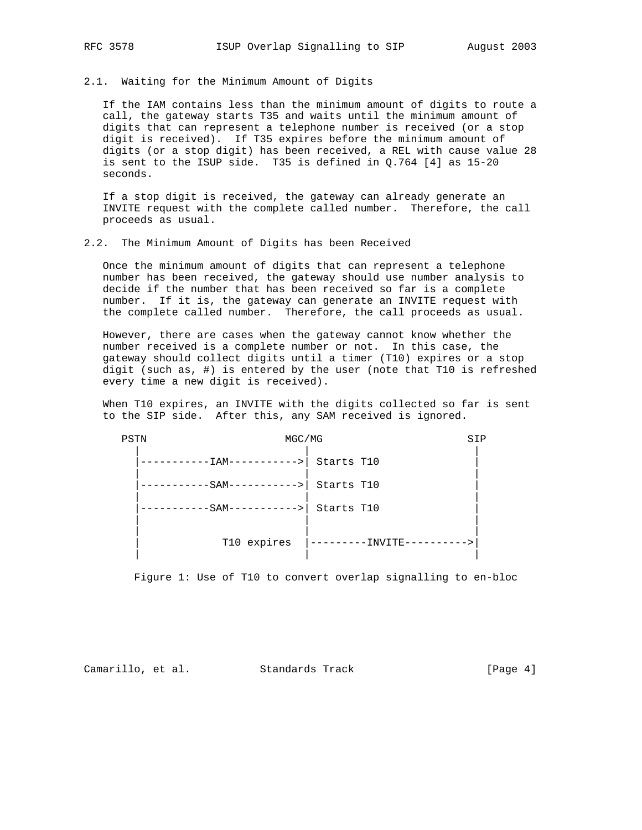2.1. Waiting for the Minimum Amount of Digits

 If the IAM contains less than the minimum amount of digits to route a call, the gateway starts T35 and waits until the minimum amount of digits that can represent a telephone number is received (or a stop digit is received). If T35 expires before the minimum amount of digits (or a stop digit) has been received, a REL with cause value 28 is sent to the ISUP side. T35 is defined in Q.764 [4] as 15-20 seconds.

 If a stop digit is received, the gateway can already generate an INVITE request with the complete called number. Therefore, the call proceeds as usual.

#### 2.2. The Minimum Amount of Digits has been Received

 Once the minimum amount of digits that can represent a telephone number has been received, the gateway should use number analysis to decide if the number that has been received so far is a complete number. If it is, the gateway can generate an INVITE request with the complete called number. Therefore, the call proceeds as usual.

 However, there are cases when the gateway cannot know whether the number received is a complete number or not. In this case, the gateway should collect digits until a timer (T10) expires or a stop digit (such as, #) is entered by the user (note that T10 is refreshed every time a new digit is received).

 When T10 expires, an INVITE with the digits collected so far is sent to the SIP side. After this, any SAM received is ignored.

| PSTN | MGC/MG                |            |                        | SIP |
|------|-----------------------|------------|------------------------|-----|
|      | -IAM---<br>$--------$ | Starts T10 |                        |     |
|      | $-SAM---------$       | Starts T10 |                        |     |
|      | $-SAM---------$       | Starts T10 |                        |     |
|      | T10 expires           | ------     | TR.<br>ΤN<br>$- - - -$ |     |

Figure 1: Use of T10 to convert overlap signalling to en-bloc

Camarillo, et al. Standards Track [Page 4]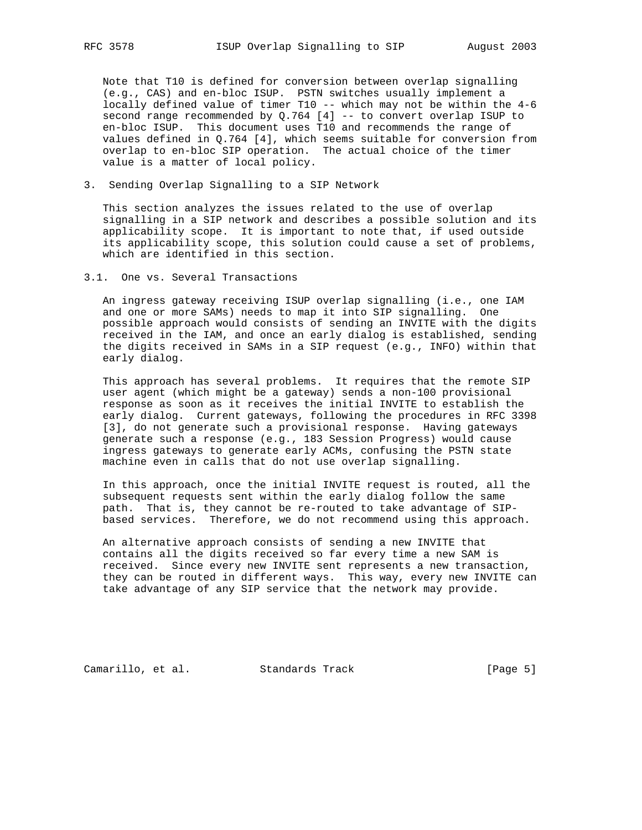Note that T10 is defined for conversion between overlap signalling (e.g., CAS) and en-bloc ISUP. PSTN switches usually implement a locally defined value of timer T10 -- which may not be within the 4-6 second range recommended by Q.764 [4] -- to convert overlap ISUP to en-bloc ISUP. This document uses T10 and recommends the range of values defined in Q.764 [4], which seems suitable for conversion from overlap to en-bloc SIP operation. The actual choice of the timer value is a matter of local policy.

3. Sending Overlap Signalling to a SIP Network

 This section analyzes the issues related to the use of overlap signalling in a SIP network and describes a possible solution and its applicability scope. It is important to note that, if used outside its applicability scope, this solution could cause a set of problems, which are identified in this section.

3.1. One vs. Several Transactions

 An ingress gateway receiving ISUP overlap signalling (i.e., one IAM and one or more SAMs) needs to map it into SIP signalling. One possible approach would consists of sending an INVITE with the digits received in the IAM, and once an early dialog is established, sending the digits received in SAMs in a SIP request (e.g., INFO) within that early dialog.

 This approach has several problems. It requires that the remote SIP user agent (which might be a gateway) sends a non-100 provisional response as soon as it receives the initial INVITE to establish the early dialog. Current gateways, following the procedures in RFC 3398 [3], do not generate such a provisional response. Having gateways generate such a response (e.g., 183 Session Progress) would cause ingress gateways to generate early ACMs, confusing the PSTN state machine even in calls that do not use overlap signalling.

 In this approach, once the initial INVITE request is routed, all the subsequent requests sent within the early dialog follow the same path. That is, they cannot be re-routed to take advantage of SIP based services. Therefore, we do not recommend using this approach.

 An alternative approach consists of sending a new INVITE that contains all the digits received so far every time a new SAM is received. Since every new INVITE sent represents a new transaction, they can be routed in different ways. This way, every new INVITE can take advantage of any SIP service that the network may provide.

Camarillo, et al. Standards Track [Page 5]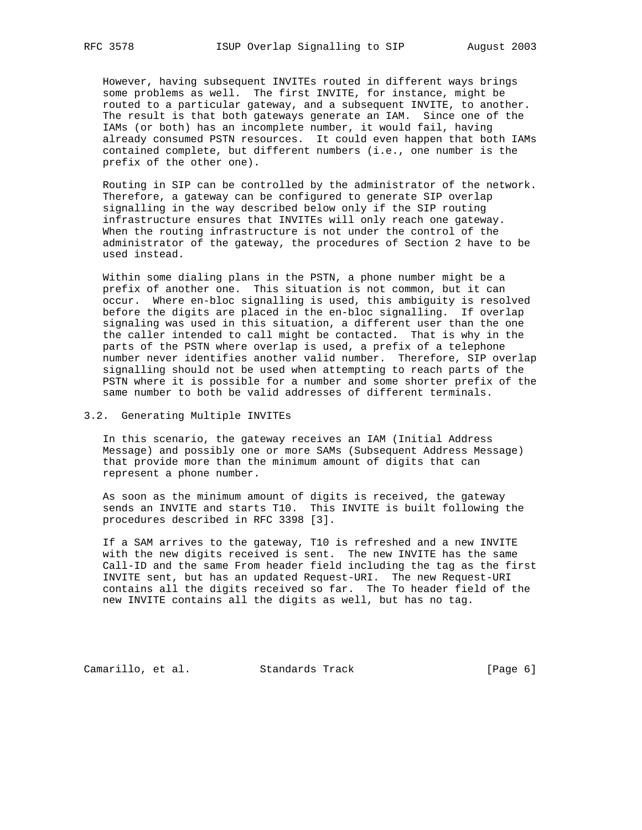However, having subsequent INVITEs routed in different ways brings some problems as well. The first INVITE, for instance, might be routed to a particular gateway, and a subsequent INVITE, to another. The result is that both gateways generate an IAM. Since one of the IAMs (or both) has an incomplete number, it would fail, having already consumed PSTN resources. It could even happen that both IAMs contained complete, but different numbers (i.e., one number is the prefix of the other one).

 Routing in SIP can be controlled by the administrator of the network. Therefore, a gateway can be configured to generate SIP overlap signalling in the way described below only if the SIP routing infrastructure ensures that INVITEs will only reach one gateway. When the routing infrastructure is not under the control of the administrator of the gateway, the procedures of Section 2 have to be used instead.

 Within some dialing plans in the PSTN, a phone number might be a prefix of another one. This situation is not common, but it can occur. Where en-bloc signalling is used, this ambiguity is resolved before the digits are placed in the en-bloc signalling. If overlap signaling was used in this situation, a different user than the one the caller intended to call might be contacted. That is why in the parts of the PSTN where overlap is used, a prefix of a telephone number never identifies another valid number. Therefore, SIP overlap signalling should not be used when attempting to reach parts of the PSTN where it is possible for a number and some shorter prefix of the same number to both be valid addresses of different terminals.

### 3.2. Generating Multiple INVITEs

 In this scenario, the gateway receives an IAM (Initial Address Message) and possibly one or more SAMs (Subsequent Address Message) that provide more than the minimum amount of digits that can represent a phone number.

 As soon as the minimum amount of digits is received, the gateway sends an INVITE and starts T10. This INVITE is built following the procedures described in RFC 3398 [3].

 If a SAM arrives to the gateway, T10 is refreshed and a new INVITE with the new digits received is sent. The new INVITE has the same Call-ID and the same From header field including the tag as the first INVITE sent, but has an updated Request-URI. The new Request-URI contains all the digits received so far. The To header field of the new INVITE contains all the digits as well, but has no tag.

Camarillo, et al. Standards Track [Page 6]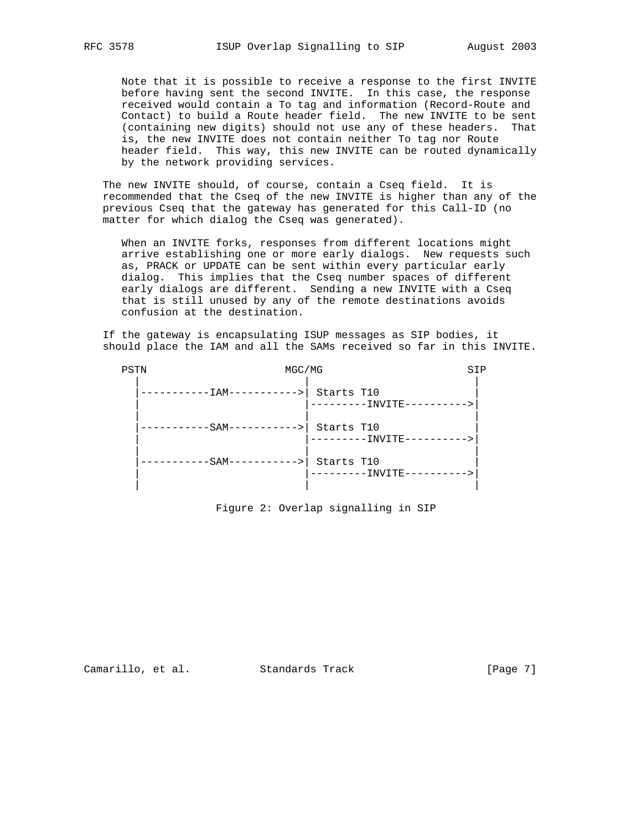Note that it is possible to receive a response to the first INVITE before having sent the second INVITE. In this case, the response received would contain a To tag and information (Record-Route and Contact) to build a Route header field. The new INVITE to be sent (containing new digits) should not use any of these headers. That is, the new INVITE does not contain neither To tag nor Route header field. This way, this new INVITE can be routed dynamically by the network providing services.

 The new INVITE should, of course, contain a Cseq field. It is recommended that the Cseq of the new INVITE is higher than any of the previous Cseq that the gateway has generated for this Call-ID (no matter for which dialog the Cseq was generated).

 When an INVITE forks, responses from different locations might arrive establishing one or more early dialogs. New requests such as, PRACK or UPDATE can be sent within every particular early dialog. This implies that the Cseq number spaces of different early dialogs are different. Sending a new INVITE with a Cseq that is still unused by any of the remote destinations avoids confusion at the destination.

 If the gateway is encapsulating ISUP messages as SIP bodies, it should place the IAM and all the SAMs received so far in this INVITE.

| PSTN |                       | MGC/MG                                 | SIP |
|------|-----------------------|----------------------------------------|-----|
|      | ------IAM-----------> | Starts T10<br>--------INVITE---------- |     |
|      | ------SAM-----------> | Starts T10<br>--------INVITE---------- |     |
|      | -----SAM----------->  | Starts T10                             |     |
|      |                       |                                        |     |

Figure 2: Overlap signalling in SIP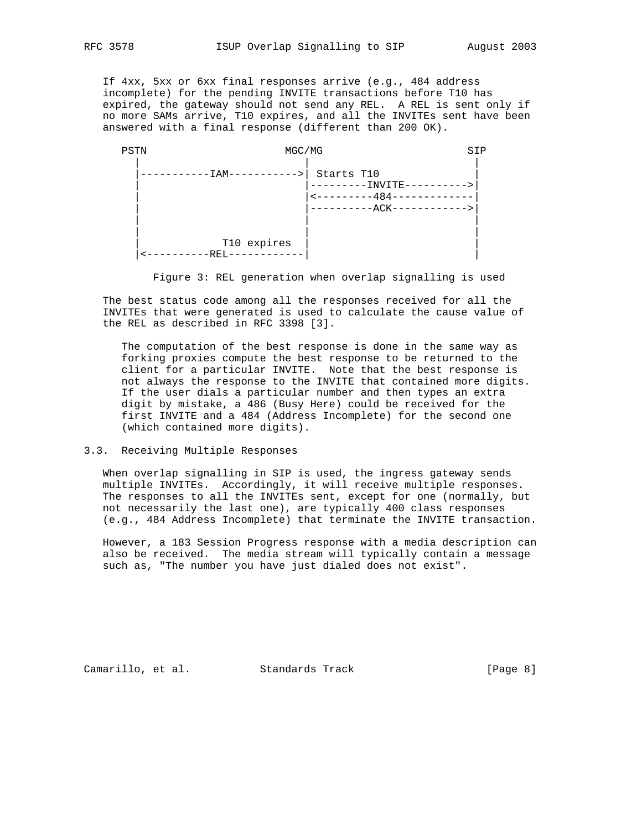If 4xx, 5xx or 6xx final responses arrive (e.g., 484 address incomplete) for the pending INVITE transactions before T10 has expired, the gateway should not send any REL. A REL is sent only if no more SAMs arrive, T10 expires, and all the INVITEs sent have been answered with a final response (different than 200 OK).



Figure 3: REL generation when overlap signalling is used

 The best status code among all the responses received for all the INVITEs that were generated is used to calculate the cause value of the REL as described in RFC 3398 [3].

 The computation of the best response is done in the same way as forking proxies compute the best response to be returned to the client for a particular INVITE. Note that the best response is not always the response to the INVITE that contained more digits. If the user dials a particular number and then types an extra digit by mistake, a 486 (Busy Here) could be received for the first INVITE and a 484 (Address Incomplete) for the second one (which contained more digits).

### 3.3. Receiving Multiple Responses

 When overlap signalling in SIP is used, the ingress gateway sends multiple INVITEs. Accordingly, it will receive multiple responses. The responses to all the INVITEs sent, except for one (normally, but not necessarily the last one), are typically 400 class responses (e.g., 484 Address Incomplete) that terminate the INVITE transaction.

 However, a 183 Session Progress response with a media description can also be received. The media stream will typically contain a message such as, "The number you have just dialed does not exist".

Camarillo, et al. Standards Track [Page 8]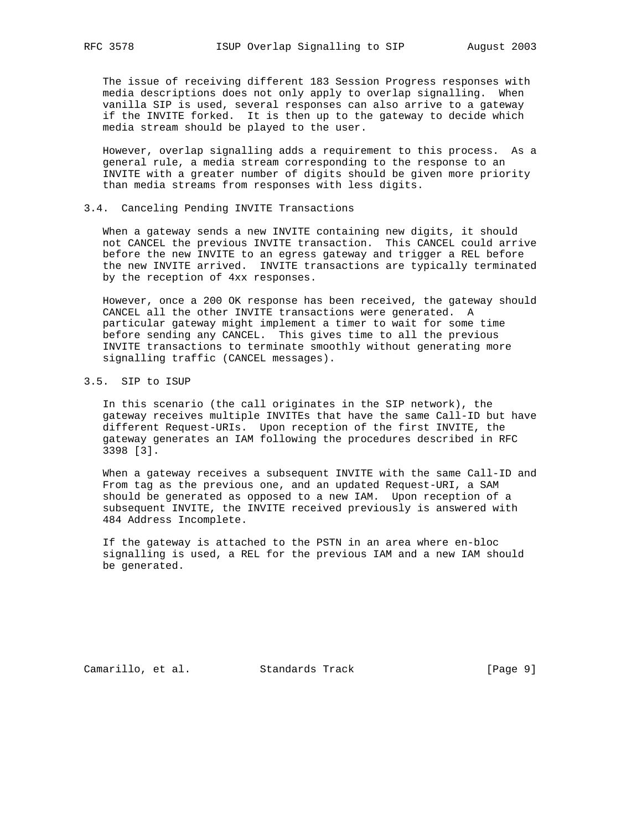The issue of receiving different 183 Session Progress responses with media descriptions does not only apply to overlap signalling. When vanilla SIP is used, several responses can also arrive to a gateway if the INVITE forked. It is then up to the gateway to decide which media stream should be played to the user.

 However, overlap signalling adds a requirement to this process. As a general rule, a media stream corresponding to the response to an INVITE with a greater number of digits should be given more priority than media streams from responses with less digits.

### 3.4. Canceling Pending INVITE Transactions

 When a gateway sends a new INVITE containing new digits, it should not CANCEL the previous INVITE transaction. This CANCEL could arrive before the new INVITE to an egress gateway and trigger a REL before the new INVITE arrived. INVITE transactions are typically terminated by the reception of 4xx responses.

 However, once a 200 OK response has been received, the gateway should CANCEL all the other INVITE transactions were generated. A particular gateway might implement a timer to wait for some time before sending any CANCEL. This gives time to all the previous INVITE transactions to terminate smoothly without generating more signalling traffic (CANCEL messages).

## 3.5. SIP to ISUP

 In this scenario (the call originates in the SIP network), the gateway receives multiple INVITEs that have the same Call-ID but have different Request-URIs. Upon reception of the first INVITE, the gateway generates an IAM following the procedures described in RFC 3398 [3].

 When a gateway receives a subsequent INVITE with the same Call-ID and From tag as the previous one, and an updated Request-URI, a SAM should be generated as opposed to a new IAM. Upon reception of a subsequent INVITE, the INVITE received previously is answered with 484 Address Incomplete.

 If the gateway is attached to the PSTN in an area where en-bloc signalling is used, a REL for the previous IAM and a new IAM should be generated.

Camarillo, et al. Standards Track [Page 9]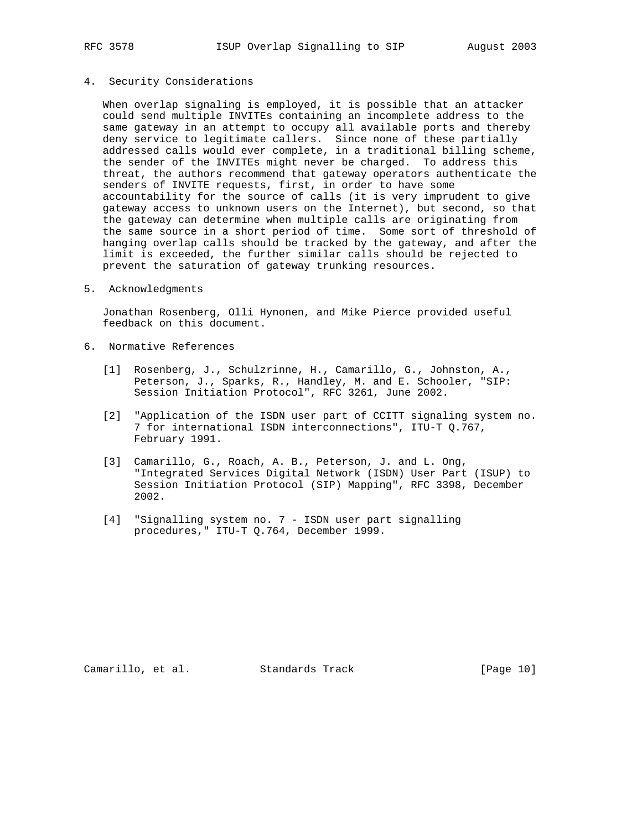### 4. Security Considerations

 When overlap signaling is employed, it is possible that an attacker could send multiple INVITEs containing an incomplete address to the same gateway in an attempt to occupy all available ports and thereby deny service to legitimate callers. Since none of these partially addressed calls would ever complete, in a traditional billing scheme, the sender of the INVITEs might never be charged. To address this threat, the authors recommend that gateway operators authenticate the senders of INVITE requests, first, in order to have some accountability for the source of calls (it is very imprudent to give gateway access to unknown users on the Internet), but second, so that the gateway can determine when multiple calls are originating from the same source in a short period of time. Some sort of threshold of hanging overlap calls should be tracked by the gateway, and after the limit is exceeded, the further similar calls should be rejected to prevent the saturation of gateway trunking resources.

5. Acknowledgments

 Jonathan Rosenberg, Olli Hynonen, and Mike Pierce provided useful feedback on this document.

- 6. Normative References
	- [1] Rosenberg, J., Schulzrinne, H., Camarillo, G., Johnston, A., Peterson, J., Sparks, R., Handley, M. and E. Schooler, "SIP: Session Initiation Protocol", RFC 3261, June 2002.
	- [2] "Application of the ISDN user part of CCITT signaling system no. 7 for international ISDN interconnections", ITU-T Q.767, February 1991.
	- [3] Camarillo, G., Roach, A. B., Peterson, J. and L. Ong, "Integrated Services Digital Network (ISDN) User Part (ISUP) to Session Initiation Protocol (SIP) Mapping", RFC 3398, December 2002.
- [4] "Signalling system no. 7 ISDN user part signalling procedures," ITU-T Q.764, December 1999.

Camarillo, et al. Standards Track [Page 10]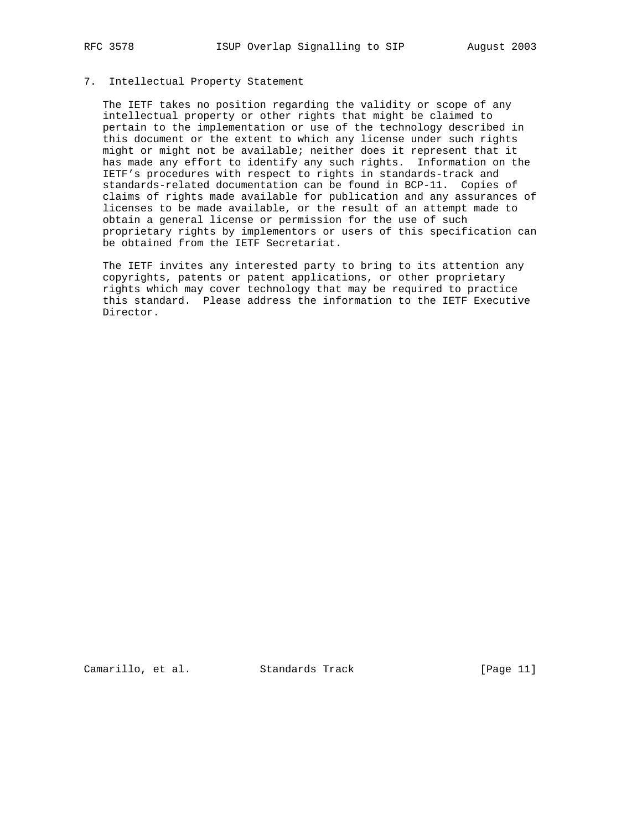#### 7. Intellectual Property Statement

 The IETF takes no position regarding the validity or scope of any intellectual property or other rights that might be claimed to pertain to the implementation or use of the technology described in this document or the extent to which any license under such rights might or might not be available; neither does it represent that it has made any effort to identify any such rights. Information on the IETF's procedures with respect to rights in standards-track and standards-related documentation can be found in BCP-11. Copies of claims of rights made available for publication and any assurances of licenses to be made available, or the result of an attempt made to obtain a general license or permission for the use of such proprietary rights by implementors or users of this specification can be obtained from the IETF Secretariat.

 The IETF invites any interested party to bring to its attention any copyrights, patents or patent applications, or other proprietary rights which may cover technology that may be required to practice this standard. Please address the information to the IETF Executive Director.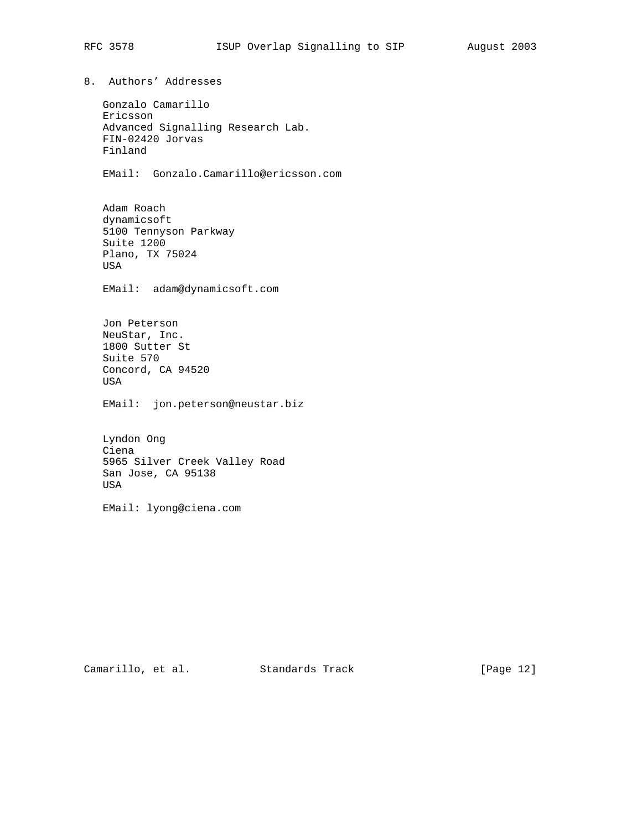8. Authors' Addresses

```
 Gonzalo Camarillo
Ericsson
Advanced Signalling Research Lab.
FIN-02420 Jorvas
Finland
EMail: Gonzalo.Camarillo@ericsson.com
Adam Roach
dynamicsoft
5100 Tennyson Parkway
Suite 1200
Plano, TX 75024
USA
EMail: adam@dynamicsoft.com
Jon Peterson
NeuStar, Inc.
1800 Sutter St
Suite 570
Concord, CA 94520
USA
EMail: jon.peterson@neustar.biz
Lyndon Ong
Ciena
5965 Silver Creek Valley Road
San Jose, CA 95138
USA
EMail: lyong@ciena.com
```
Camarillo, et al. Standards Track [Page 12]